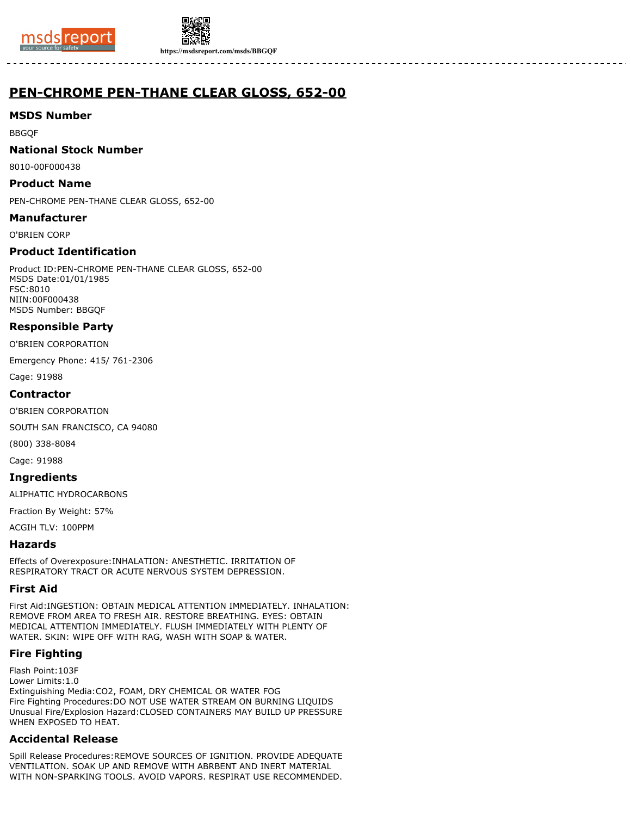



**https://msdsreport.com/msds/BBGQF**

# **PEN-CHROME PEN-THANE CLEAR GLOSS, 652-00**

## **MSDS Number**

BBGQF

#### **National Stock Number**

8010-00F000438

#### **Product Name**

PEN-CHROME PEN-THANE CLEAR GLOSS, 652-00

#### **Manufacturer**

O'BRIEN CORP

# **Product Identification**

Product ID:PEN-CHROME PEN-THANE CLEAR GLOSS, 652-00 MSDS Date:01/01/1985 FSC:8010 NIIN:00F000438 MSDS Number: BBGQF

## **Responsible Party**

O'BRIEN CORPORATION

Emergency Phone: 415/ 761-2306

Cage: 91988

#### **Contractor**

O'BRIEN CORPORATION

SOUTH SAN FRANCISCO, CA 94080

(800) 338-8084

Cage: 91988

#### **Ingredients**

ALIPHATIC HYDROCARBONS

Fraction By Weight: 57%

ACGIH TLV: 100PPM

## **Hazards**

Effects of Overexposure:INHALATION: ANESTHETIC. IRRITATION OF RESPIRATORY TRACT OR ACUTE NERVOUS SYSTEM DEPRESSION.

## **First Aid**

First Aid:INGESTION: OBTAIN MEDICAL ATTENTION IMMEDIATELY. INHALATION: REMOVE FROM AREA TO FRESH AIR. RESTORE BREATHING. EYES: OBTAIN MEDICAL ATTENTION IMMEDIATELY. FLUSH IMMEDIATELY WITH PLENTY OF WATER. SKIN: WIPE OFF WITH RAG, WASH WITH SOAP & WATER.

## **Fire Fighting**

Flash Point:103F Lower Limits:1.0 Extinguishing Media:CO2, FOAM, DRY CHEMICAL OR WATER FOG Fire Fighting Procedures:DO NOT USE WATER STREAM ON BURNING LIQUIDS Unusual Fire/Explosion Hazard:CLOSED CONTAINERS MAY BUILD UP PRESSURE WHEN EXPOSED TO HEAT.

## **Accidental Release**

Spill Release Procedures:REMOVE SOURCES OF IGNITION. PROVIDE ADEQUATE VENTILATION. SOAK UP AND REMOVE WITH ABRBENT AND INERT MATERIAL WITH NON-SPARKING TOOLS. AVOID VAPORS. RESPIRAT USE RECOMMENDED.